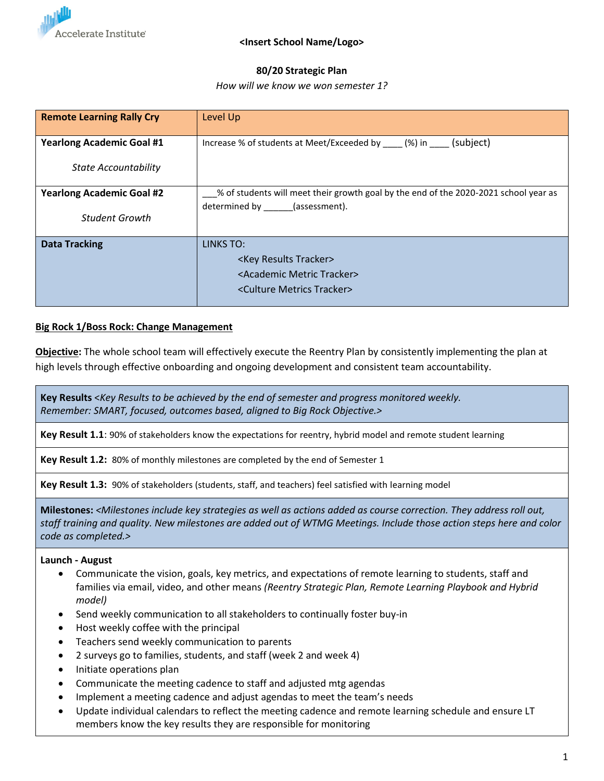

# **80/20 Strategic Plan**

### *How will we know we won semester 1?*

| <b>Remote Learning Rally Cry</b> | Level Up                                                                             |  |
|----------------------------------|--------------------------------------------------------------------------------------|--|
| <b>Yearlong Academic Goal #1</b> | Increase % of students at Meet/Exceeded by (%) in (subject)                          |  |
| <b>State Accountability</b>      |                                                                                      |  |
| <b>Yearlong Academic Goal #2</b> | % of students will meet their growth goal by the end of the 2020-2021 school year as |  |
| Student Growth                   | determined by (assessment).                                                          |  |
| <b>Data Tracking</b>             | LINKS TO:                                                                            |  |
|                                  | <key results="" tracker=""></key>                                                    |  |
|                                  | <academic metric="" tracker=""></academic>                                           |  |
|                                  | <culture metrics="" tracker=""></culture>                                            |  |

## **Big Rock 1/Boss Rock: Change Management**

**Objective:** The whole school team will effectively execute the Reentry Plan by consistently implementing the plan at high levels through effective onboarding and ongoing development and consistent team accountability.

**Key Results** <*Key Results to be achieved by the end of semester and progress monitored weekly. Remember: SMART, focused, outcomes based, aligned to Big Rock Objective.>*

**Key Result 1.1**: 90% of stakeholders know the expectations for reentry, hybrid model and remote student learning

**Key Result 1.2:** 80% of monthly milestones are completed by the end of Semester 1

**Key Result 1.3:** 90% of stakeholders (students, staff, and teachers) feel satisfied with learning model

**Milestones:** *<Milestones include key strategies as well as actions added as course correction. They address roll out, staff training and quality. New milestones are added out of WTMG Meetings. Include those action steps here and color code as completed.>*

### **Launch - August**

- Communicate the vision, goals, key metrics, and expectations of remote learning to students, staff and families via email, video, and other means *(Reentry Strategic Plan, Remote Learning Playbook and Hybrid model)*
- Send weekly communication to all stakeholders to continually foster buy-in
- Host weekly coffee with the principal
- Teachers send weekly communication to parents
- 2 surveys go to families, students, and staff (week 2 and week 4)
- Initiate operations plan
- Communicate the meeting cadence to staff and adjusted mtg agendas
- Implement a meeting cadence and adjust agendas to meet the team's needs
- Update individual calendars to reflect the meeting cadence and remote learning schedule and ensure LT members know the key results they are responsible for monitoring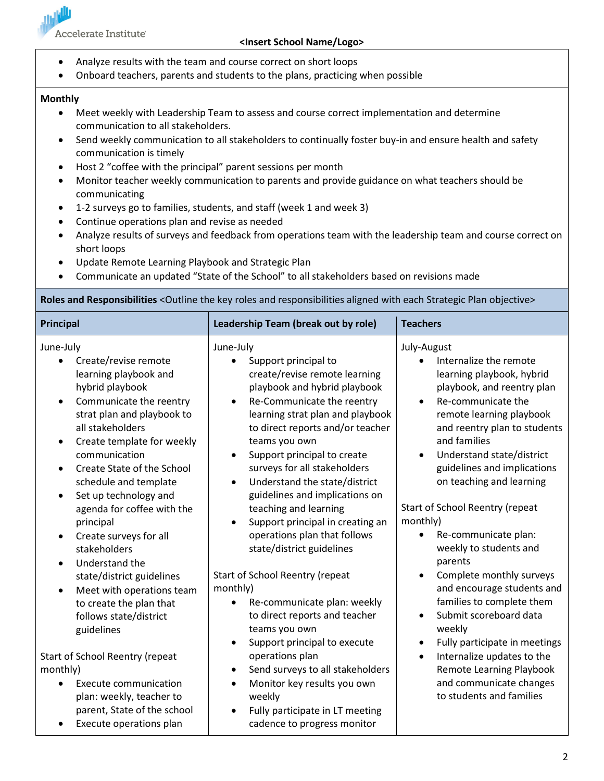

## **<Insert School Name/Logo>**

- Analyze results with the team and course correct on short loops
- Onboard teachers, parents and students to the plans, practicing when possible

### **Monthly**

- Meet weekly with Leadership Team to assess and course correct implementation and determine communication to all stakeholders.
- Send weekly communication to all stakeholders to continually foster buy-in and ensure health and safety communication is timely
- Host 2 "coffee with the principal" parent sessions per month
- Monitor teacher weekly communication to parents and provide guidance on what teachers should be communicating
- 1-2 surveys go to families, students, and staff (week 1 and week 3)
- Continue operations plan and revise as needed
- Analyze results of surveys and feedback from operations team with the leadership team and course correct on short loops
- Update Remote Learning Playbook and Strategic Plan
- Communicate an updated "State of the School" to all stakeholders based on revisions made

**Roles and Responsibilities** <Outline the key roles and responsibilities aligned with each Strategic Plan objective>

| <b>Principal</b>                                                                                                                                                                                                                                                                                                         | Leadership Team (break out by role)                                                                                                                                                                                                                                                                                                                                                                             | <b>Teachers</b>                                                                                                                                                                                                                                                                                                      |  |
|--------------------------------------------------------------------------------------------------------------------------------------------------------------------------------------------------------------------------------------------------------------------------------------------------------------------------|-----------------------------------------------------------------------------------------------------------------------------------------------------------------------------------------------------------------------------------------------------------------------------------------------------------------------------------------------------------------------------------------------------------------|----------------------------------------------------------------------------------------------------------------------------------------------------------------------------------------------------------------------------------------------------------------------------------------------------------------------|--|
| June-July<br>Create/revise remote<br>learning playbook and<br>hybrid playbook<br>Communicate the reentry<br>strat plan and playbook to<br>all stakeholders<br>Create template for weekly<br>٠<br>communication<br>Create State of the School<br>$\bullet$<br>schedule and template<br>Set up technology and<br>$\bullet$ | June-July<br>Support principal to<br>$\bullet$<br>create/revise remote learning<br>playbook and hybrid playbook<br>Re-Communicate the reentry<br>$\bullet$<br>learning strat plan and playbook<br>to direct reports and/or teacher<br>teams you own<br>Support principal to create<br>$\bullet$<br>surveys for all stakeholders<br>Understand the state/district<br>$\bullet$<br>guidelines and implications on | July-August<br>Internalize the remote<br>learning playbook, hybrid<br>playbook, and reentry plan<br>Re-communicate the<br>$\bullet$<br>remote learning playbook<br>and reentry plan to students<br>and families<br>Understand state/district<br>$\bullet$<br>guidelines and implications<br>on teaching and learning |  |
| agenda for coffee with the<br>principal<br>Create surveys for all<br>٠<br>stakeholders<br>Understand the<br>$\bullet$<br>state/district guidelines                                                                                                                                                                       | teaching and learning<br>Support principal in creating an<br>$\bullet$<br>operations plan that follows<br>state/district guidelines<br>Start of School Reentry (repeat                                                                                                                                                                                                                                          | Start of School Reentry (repeat<br>monthly)<br>Re-communicate plan:<br>$\bullet$<br>weekly to students and<br>parents<br>Complete monthly surveys<br>$\bullet$                                                                                                                                                       |  |
| Meet with operations team<br>$\bullet$<br>to create the plan that<br>follows state/district<br>guidelines                                                                                                                                                                                                                | monthly)<br>Re-communicate plan: weekly<br>to direct reports and teacher<br>teams you own<br>Support principal to execute<br>$\bullet$                                                                                                                                                                                                                                                                          | and encourage students and<br>families to complete them<br>Submit scoreboard data<br>$\bullet$<br>weekly<br>Fully participate in meetings<br>$\bullet$                                                                                                                                                               |  |
| Start of School Reentry (repeat<br>monthly)<br><b>Execute communication</b><br>plan: weekly, teacher to<br>parent, State of the school<br>Execute operations plan<br>٠                                                                                                                                                   | operations plan<br>Send surveys to all stakeholders<br>$\bullet$<br>Monitor key results you own<br>$\bullet$<br>weekly<br>Fully participate in LT meeting<br>$\bullet$<br>cadence to progress monitor                                                                                                                                                                                                           | Internalize updates to the<br>$\bullet$<br><b>Remote Learning Playbook</b><br>and communicate changes<br>to students and families                                                                                                                                                                                    |  |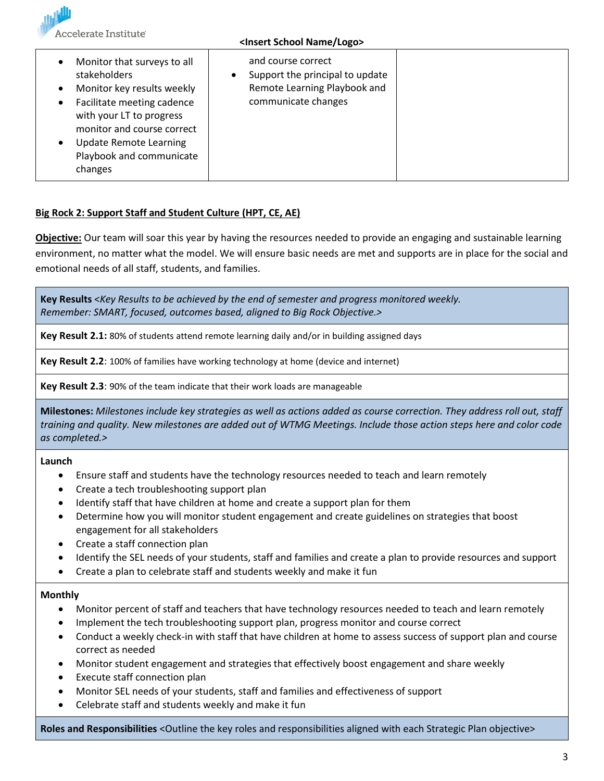Accelerate Institute<sup>®</sup>

### **<Insert School Name/Logo>**

| Monitor that surveys to all                                                                                                    | and course correct              |
|--------------------------------------------------------------------------------------------------------------------------------|---------------------------------|
| stakeholders                                                                                                                   | Support the principal to update |
| Monitor key results weekly                                                                                                     | Remote Learning Playbook and    |
| Facilitate meeting cadence                                                                                                     | communicate changes             |
| with your LT to progress<br>monitor and course correct<br><b>Update Remote Learning</b><br>Playbook and communicate<br>changes |                                 |

# **Big Rock 2: Support Staff and Student Culture (HPT, CE, AE)**

**Objective:** Our team will soar this year by having the resources needed to provide an engaging and sustainable learning environment, no matter what the model. We will ensure basic needs are met and supports are in place for the social and emotional needs of all staff, students, and families.

**Key Results** <*Key Results to be achieved by the end of semester and progress monitored weekly. Remember: SMART, focused, outcomes based, aligned to Big Rock Objective.>*

**Key Result 2.1:** 80% of students attend remote learning daily and/or in building assigned days

**Key Result 2.2**: 100% of families have working technology at home (device and internet)

**Key Result 2.3**: 90% of the team indicate that their work loads are manageable

**Milestones:** *Milestones include key strategies as well as actions added as course correction. They address roll out, staff training and quality. New milestones are added out of WTMG Meetings. Include those action steps here and color code as completed.>*

**Launch**

- Ensure staff and students have the technology resources needed to teach and learn remotely
- Create a tech troubleshooting support plan
- Identify staff that have children at home and create a support plan for them
- Determine how you will monitor student engagement and create guidelines on strategies that boost engagement for all stakeholders
- Create a staff connection plan
- Identify the SEL needs of your students, staff and families and create a plan to provide resources and support
- Create a plan to celebrate staff and students weekly and make it fun

## **Monthly**

- Monitor percent of staff and teachers that have technology resources needed to teach and learn remotely
- Implement the tech troubleshooting support plan, progress monitor and course correct
- Conduct a weekly check-in with staff that have children at home to assess success of support plan and course correct as needed
- Monitor student engagement and strategies that effectively boost engagement and share weekly
- Execute staff connection plan
- Monitor SEL needs of your students, staff and families and effectiveness of support
- Celebrate staff and students weekly and make it fun

**Roles and Responsibilities** <Outline the key roles and responsibilities aligned with each Strategic Plan objective>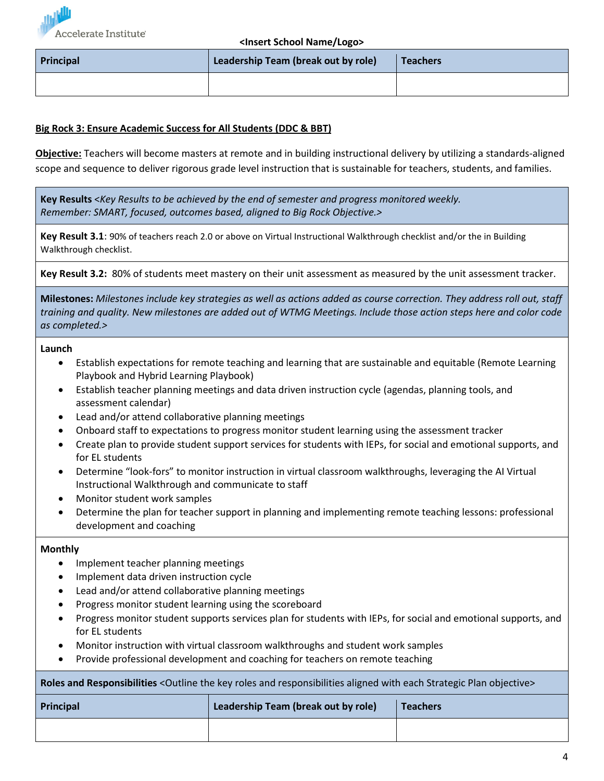

### **<Insert School Name/Logo>**

| Principal | Leadership Team (break out by role) | Teachers |  |
|-----------|-------------------------------------|----------|--|
|           |                                     |          |  |

# **Big Rock 3: Ensure Academic Success for All Students (DDC & BBT)**

**Objective:** Teachers will become masters at remote and in building instructional delivery by utilizing a standards-aligned scope and sequence to deliver rigorous grade level instruction that is sustainable for teachers, students, and families.

**Key Results** <*Key Results to be achieved by the end of semester and progress monitored weekly. Remember: SMART, focused, outcomes based, aligned to Big Rock Objective.>*

**Key Result 3.1**: 90% of teachers reach 2.0 or above on Virtual Instructional Walkthrough checklist and/or the in Building Walkthrough checklist.

**Key Result 3.2:** 80% of students meet mastery on their unit assessment as measured by the unit assessment tracker.

**Milestones:** *Milestones include key strategies as well as actions added as course correction. They address roll out, staff training and quality. New milestones are added out of WTMG Meetings. Include those action steps here and color code as completed.>*

### **Launch**

- Establish expectations for remote teaching and learning that are sustainable and equitable (Remote Learning Playbook and Hybrid Learning Playbook)
- Establish teacher planning meetings and data driven instruction cycle (agendas, planning tools, and assessment calendar)
- Lead and/or attend collaborative planning meetings
- Onboard staff to expectations to progress monitor student learning using the assessment tracker
- Create plan to provide student support services for students with IEPs, for social and emotional supports, and for EL students
- Determine "look-fors" to monitor instruction in virtual classroom walkthroughs, leveraging the AI Virtual Instructional Walkthrough and communicate to staff
- Monitor student work samples
- Determine the plan for teacher support in planning and implementing remote teaching lessons: professional development and coaching

## **Monthly**

- Implement teacher planning meetings
- Implement data driven instruction cycle
- Lead and/or attend collaborative planning meetings
- Progress monitor student learning using the scoreboard
- Progress monitor student supports services plan for students with IEPs, for social and emotional supports, and for EL students
- Monitor instruction with virtual classroom walkthroughs and student work samples
- Provide professional development and coaching for teachers on remote teaching

**Roles and Responsibilities** <Outline the key roles and responsibilities aligned with each Strategic Plan objective>

| Principal | Leadership Team (break out by role) | <b>Teachers</b> |
|-----------|-------------------------------------|-----------------|
|           |                                     |                 |